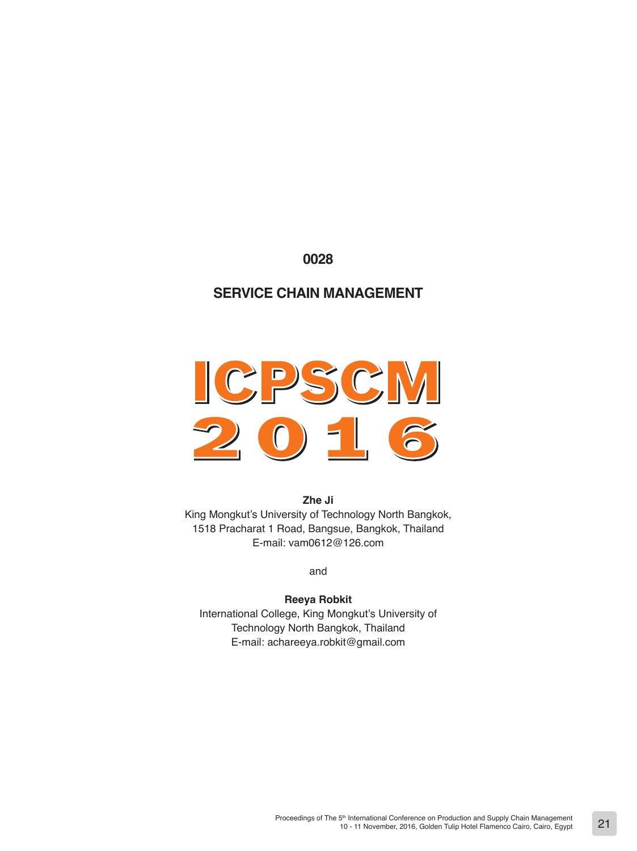# **0028**

# **SERVICE CHAIN MANAGEMENT**

# CPSCM  $\mathcal{L}$  $\overline{\mathbf{0}}$ 6

**Zhe Ji** King Mongkut's University of Technology North Bangkok, 1518 Pracharat 1 Road, Bangsue, Bangkok, Thailand E-mail: vam0612@126.com

and

# **Reeya Robkit**

International College, King Mongkut's University of Technology North Bangkok, Thailand E-mail: achareeya.robkit@gmail.com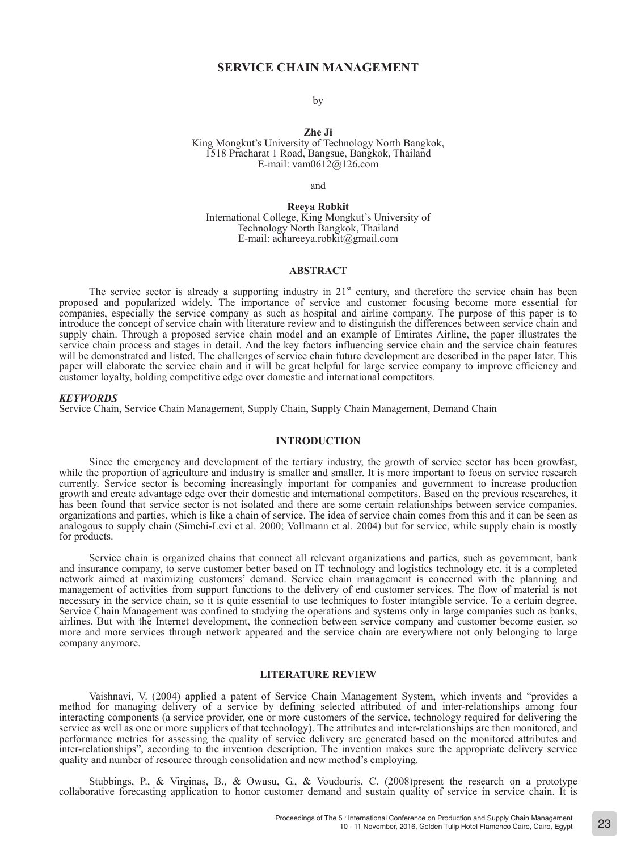## **SERVICE CHAIN MANAGEMENT**

by

**Zhe Ji** 

King Mongkut's University of Technology North Bangkok, 1518 Pracharat 1 Road, Bangsue, Bangkok, Thailand E-mail: vam0612@126.com

and

**Reeya Robkit**  International College, King Mongkut's University of Technology North Bangkok, Thailand E-mail: achareeya.robkit@gmail.com

#### **ABSTRACT**

The service sector is already a supporting industry in 21<sup>st</sup> century, and therefore the service chain has been proposed and popularized widely. The importance of service and customer focusing become more essential for companies, especially the service company as such as hospital and airline company. The purpose of this paper is to introduce the concept of service chain with literature review and to distinguish the differences between service chain and supply chain. Through a proposed service chain model and an example of Emirates Airline, the paper illustrates the service chain process and stages in detail. And the key factors influencing service chain and the service chain features will be demonstrated and listed. The challenges of service chain future development are described in the paper later. This paper will elaborate the service chain and it will be great helpful for large service company to improve efficiency and customer loyalty, holding competitive edge over domestic and international competitors.

#### *KEYWORDS*

Service Chain, Service Chain Management, Supply Chain, Supply Chain Management, Demand Chain

#### **INTRODUCTION**

Since the emergency and development of the tertiary industry, the growth of service sector has been growfast, while the proportion of agriculture and industry is smaller and smaller. It is more important to focus on service research currently. Service sector is becoming increasingly important for companies and government to increase production growth and create advantage edge over their domestic and international competitors. Based on the previous researches, it has been found that service sector is not isolated and there are some certain relationships between service companies, organizations and parties, which is like a chain of service. The idea of service chain comes from this and it can be seen as analogous to supply chain (Simchi-Levi et al. 2000; Vollmann et al. 2004) but for service, while supply chain is mostly for products.

Service chain is organized chains that connect all relevant organizations and parties, such as government, bank and insurance company, to serve customer better based on IT technology and logistics technology etc. it is a completed network aimed at maximizing customers' demand. Service chain management is concerned with the planning and management of activities from support functions to the delivery of end customer services. The flow of material is not necessary in the service chain, so it is quite essential to use techniques to foster intangible service. To a certain degree, Service Chain Management was confined to studying the operations and systems only in large companies such as banks, airlines. But with the Internet development, the connection between service company and customer become easier, so more and more services through network appeared and the service chain are everywhere not only belonging to large company anymore.

#### **LITERATURE REVIEW**

Vaishnavi, V. (2004) applied a patent of Service Chain Management System, which invents and "provides a method for managing delivery of a service by defining selected attributed of and inter-relationships among four interacting components (a service provider, one or more customers of the service, technology required for delivering the service as well as one or more suppliers of that technology). The attributes and inter-relationships are then monitored, and performance metrics for assessing the quality of service delivery are generated based on the monitored attributes and inter-relationships", according to the invention description. The invention makes sure the appropriate delivery service quality and number of resource through consolidation and new method's employing.

Stubbings, P., & Virginas, B., & Owusu, G., & Voudouris, C. (2008)present the research on a prototype collaborative forecasting application to honor customer demand and sustain quality of service in service chain. It is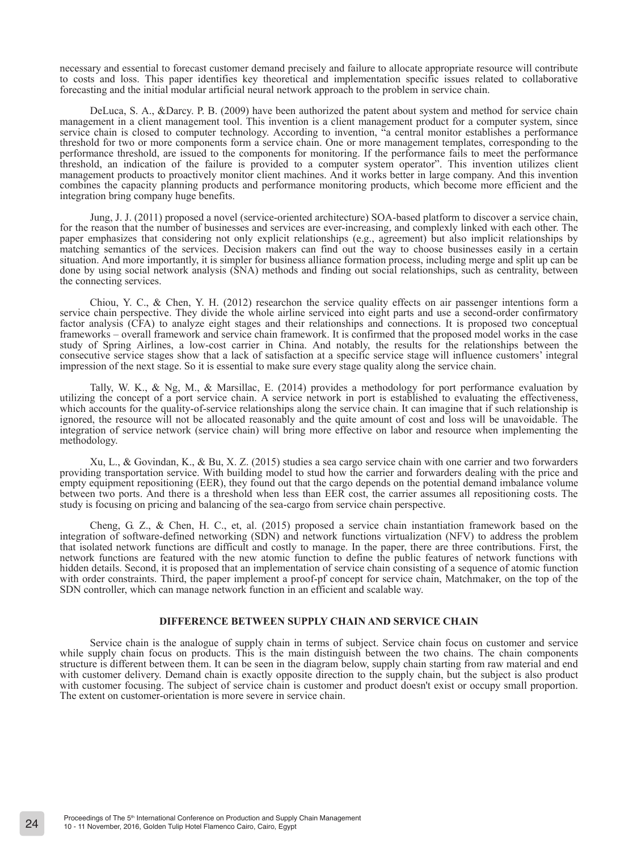necessary and essential to forecast customer demand precisely and failure to allocate appropriate resource will contribute to costs and loss. This paper identifies key theoretical and implementation specific issues related to collaborative forecasting and the initial modular artificial neural network approach to the problem in service chain.

DeLuca, S. A., &Darcy. P. B. (2009) have been authorized the patent about system and method for service chain management in a client management tool. This invention is a client management product for a computer system, since service chain is closed to computer technology. According to invention, "a central monitor establishes a performance threshold for two or more components form a service chain. One or more management templates, corresponding to the performance threshold, are issued to the components for monitoring. If the performance fails to meet the performance threshold, an indication of the failure is provided to a computer system operator". This invention utilizes client management products to proactively monitor client machines. And it works better in large company. And this invention combines the capacity planning products and performance monitoring products, which become more efficient and the integration bring company huge benefits.

Jung, J. J. (2011) proposed a novel (service-oriented architecture) SOA-based platform to discover a service chain, for the reason that the number of businesses and services are ever-increasing, and complexly linked with each other. The paper emphasizes that considering not only explicit relationships (e.g., agreement) but also implicit relationships by matching semantics of the services. Decision makers can find out the way to choose businesses easily in a certain situation. And more importantly, it is simpler for business alliance formation process, including merge and split up can be done by using social network analysis (SNA) methods and finding out social relationships, such as centrality, between the connecting services.

Chiou, Y. C., & Chen, Y. H. (2012) researchon the service quality effects on air passenger intentions form a service chain perspective. They divide the whole airline serviced into eight parts and use a second-order confirmatory factor analysis (CFA) to analyze eight stages and their relationships and connections. It is proposed two conceptual frameworks – overall framework and service chain framework. It is confirmed that the proposed model works in the case study of Spring Airlines, a low-cost carrier in China. And notably, the results for the relationships between the consecutive service stages show that a lack of satisfaction at a specific service stage will influence customers' integral impression of the next stage. So it is essential to make sure every stage quality along the service chain.

Tally, W. K., & Ng, M., & Marsillac, E. (2014) provides a methodology for port performance evaluation by utilizing the concept of a port service chain. A service network in port is established to evaluating the effectiveness, which accounts for the quality-of-service relationships along the service chain. It can imagine that if such relationship is ignored, the resource will not be allocated reasonably and the quite amount of cost and loss will be unavoidable. The integration of service network (service chain) will bring more effective on labor and resource when implementing the methodology.

Xu, L., & Govindan, K., & Bu, X. Z. (2015) studies a sea cargo service chain with one carrier and two forwarders providing transportation service. With building model to stud how the carrier and forwarders dealing with the price and empty equipment repositioning (EER), they found out that the cargo depends on the potential demand imbalance volume between two ports. And there is a threshold when less than EER cost, the carrier assumes all repositioning costs. The study is focusing on pricing and balancing of the sea-cargo from service chain perspective.

 Cheng, G. Z., & Chen, H. C., et, al. (2015) proposed a service chain instantiation framework based on the integration of software-defined networking (SDN) and network functions virtualization (NFV) to address the problem that isolated network functions are difficult and costly to manage. In the paper, there are three contributions. First, the network functions are featured with the new atomic function to define the public features of network functions with hidden details. Second, it is proposed that an implementation of service chain consisting of a sequence of atomic function with order constraints. Third, the paper implement a proof-pf concept for service chain, Matchmaker, on the top of the SDN controller, which can manage network function in an efficient and scalable way.

#### **DIFFERENCE BETWEEN SUPPLY CHAIN AND SERVICE CHAIN**

Service chain is the analogue of supply chain in terms of subject. Service chain focus on customer and service while supply chain focus on products. This is the main distinguish between the two chains. The chain components structure is different between them. It can be seen in the diagram below, supply chain starting from raw material and end with customer delivery. Demand chain is exactly opposite direction to the supply chain, but the subject is also product with customer focusing. The subject of service chain is customer and product doesn't exist or occupy small proportion. The extent on customer-orientation is more severe in service chain.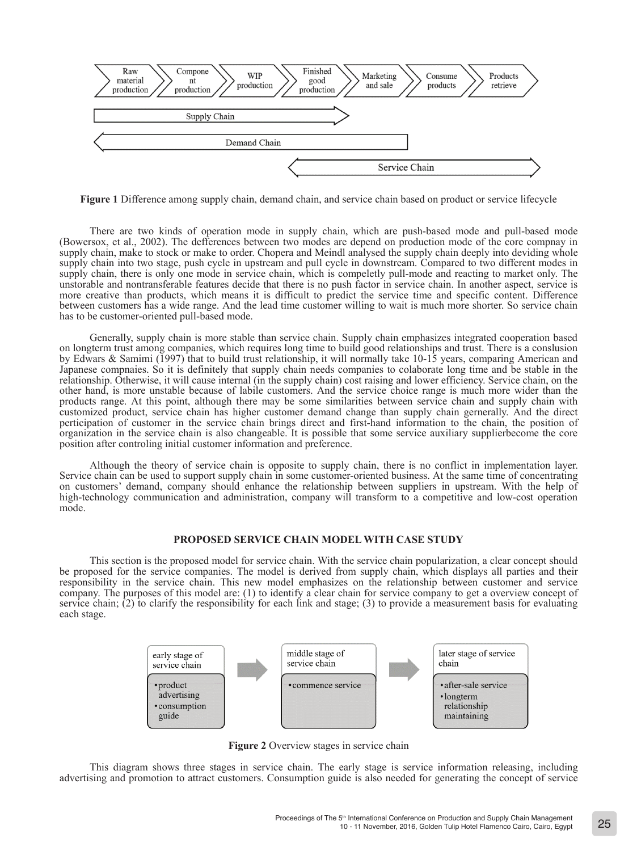

**Figure 1** Difference among supply chain, demand chain, and service chain based on product or service lifecycle

There are two kinds of operation mode in supply chain, which are push-based mode and pull-based mode (Bowersox, et al., 2002). The defferences between two modes are depend on production mode of the core compnay in supply chain, make to stock or make to order. Chopera and Meindl analysed the supply chain deeply into deviding whole supply chain into two stage, push cycle in upstream and pull cycle in downstream. Compared to two different modes in supply chain, there is only one mode in service chain, which is compeletly pull-mode and reacting to market only. The unstorable and nontransferable features decide that there is no push factor in service chain. In another aspect, service is more creative than products, which means it is difficult to predict the service time and specific content. Difference between customers has a wide range. And the lead time customer willing to wait is much more shorter. So service chain has to be customer-oriented pull-based mode.

Generally, supply chain is more stable than service chain. Supply chain emphasizes integrated cooperation based on longterm trust among companies, which requires long time to build good relationships and trust. There is a conslusion by Edwars & Samimi (1997) that to build trust relationship, it will normally take 10-15 years, comparing American and Japanese compnaies. So it is definitely that supply chain needs companies to colaborate long time and be stable in the relationship. Otherwise, it will cause internal (in the supply chain) cost raising and lower efficiency. Service chain, on the other hand, is more unstable because of labile customers. And the service choice range is much more wider than the products range. At this point, although there may be some similarities between service chain and supply chain with customized product, service chain has higher customer demand change than supply chain gernerally. And the direct perticipation of customer in the service chain brings direct and first-hand information to the chain, the position of organization in the service chain is also changeable. It is possible that some service auxiliary supplierbecome the core position after controling initial customer information and preference.

Although the theory of service chain is opposite to supply chain, there is no conflict in implementation layer. Service chain can be used to support supply chain in some customer-oriented business. At the same time of concentrating on customers' demand, company should enhance the relationship between suppliers in upstream. With the help of high-technology communication and administration, company will transform to a competitive and low-cost operation mode.

### **PROPOSED SERVICE CHAIN MODEL WITH CASE STUDY**

This section is the proposed model for service chain. With the service chain popularization, a clear concept should be proposed for the service companies. The model is derived from supply chain, which displays all parties and their responsibility in the service chain. This new model emphasizes on the relationship between customer and service company. The purposes of this model are: (1) to identify a clear chain for service company to get a overview concept of service chain; (2) to clarify the responsibility for each link and stage; (3) to provide a measurement basis for evaluating each stage.



**Figure 2** Overview stages in service chain

This diagram shows three stages in service chain. The early stage is service information releasing, including advertising and promotion to attract customers. Consumption guide is also needed for generating the concept of service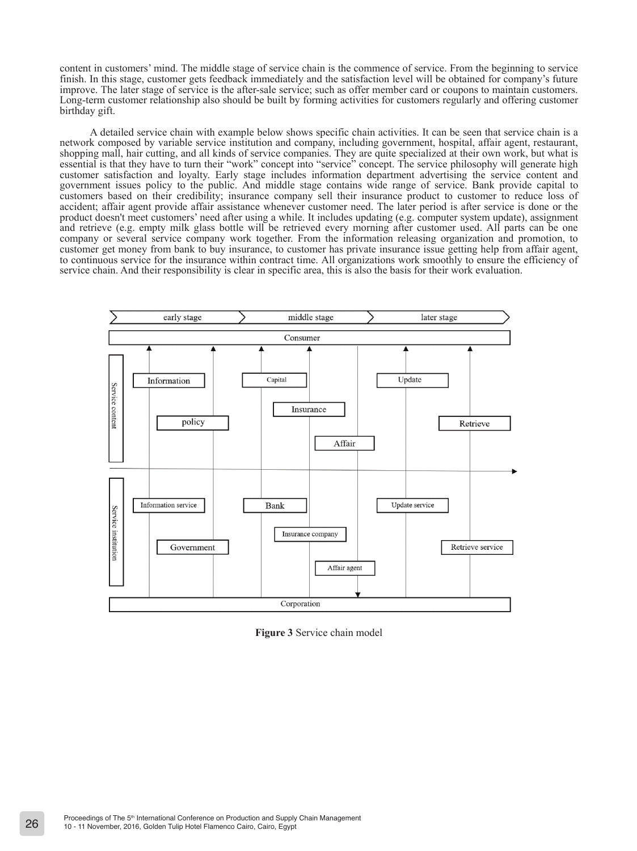content in customers' mind. The middle stage of service chain is the commence of service. From the beginning to service finish. In this stage, customer gets feedback immediately and the satisfaction level will be obtained for company's future improve. The later stage of service is the after-sale service; such as offer member card or coupons to maintain customers. Long-term customer relationship also should be built by forming activities for customers regularly and offering customer birthday gift.

A detailed service chain with example below shows specific chain activities. It can be seen that service chain is a network composed by variable service institution and company, including government, hospital, affair agent, restaurant, shopping mall, hair cutting, and all kinds of service companies. They are quite specialized at their own work, but what is essential is that they have to turn their "work" concept into "service" concept. The service philosophy will generate high customer satisfaction and loyalty. Early stage includes information department advertising the service content and government issues policy to the public. And middle stage contains wide range of service. Bank provide capital to customers based on their credibility; insurance company sell their insurance product to customer to reduce loss of accident; affair agent provide affair assistance whenever customer need. The later period is after service is done or the product doesn't meet customers' need after using a while. It includes updating (e.g. computer system update), assignment and retrieve (e.g. empty milk glass bottle will be retrieved every morning after customer used. All parts can be one company or several service company work together. From the information releasing organization and promotion, to customer get money from bank to buy insurance, to customer has private insurance issue getting help from affair agent, to continuous service for the insurance within contract time. All organizations work smoothly to ensure the efficiency of service chain. And their responsibility is clear in specific area, this is also the basis for their work evaluation.



**Figure 3** Service chain model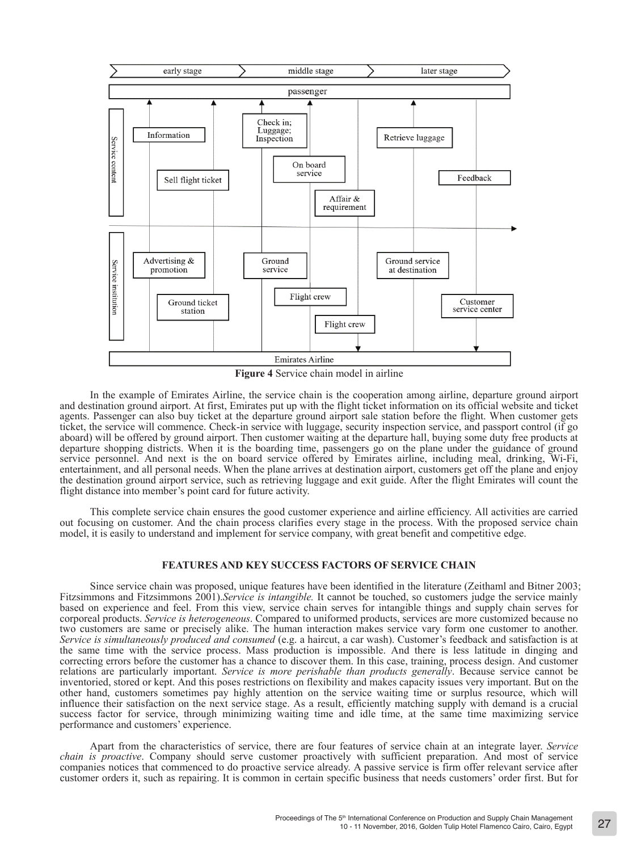

**Figure 4** Service chain model in airline

In the example of Emirates Airline, the service chain is the cooperation among airline, departure ground airport and destination ground airport. At first, Emirates put up with the flight ticket information on its official website and ticket agents. Passenger can also buy ticket at the departure ground airport sale station before the flight. When customer gets ticket, the service will commence. Check-in service with luggage, security inspection service, and passport control (if go aboard) will be offered by ground airport. Then customer waiting at the departure hall, buying some duty free products at departure shopping districts. When it is the boarding time, passengers go on the plane under the guidance of ground service personnel. And next is the on board service offered by Emirates airline, including meal, drinking, Wi-Fi, entertainment, and all personal needs. When the plane arrives at destination airport, customers get off the plane and enjoy the destination ground airport service, such as retrieving luggage and exit guide. After the flight Emirates will count the flight distance into member's point card for future activity.

This complete service chain ensures the good customer experience and airline efficiency. All activities are carried out focusing on customer. And the chain process clarifies every stage in the process. With the proposed service chain model, it is easily to understand and implement for service company, with great benefit and competitive edge.

## **FEATURES AND KEY SUCCESS FACTORS OF SERVICE CHAIN**

Since service chain was proposed, unique features have been identified in the literature (Zeithaml and Bitner 2003; Fitzsimmons and Fitzsimmons 2001).*Service is intangible.* It cannot be touched, so customers judge the service mainly based on experience and feel. From this view, service chain serves for intangible things and supply chain serves for corporeal products. *Service is heterogeneous*. Compared to uniformed products, services are more customized because no two customers are same or precisely alike. The human interaction makes service vary form one customer to another. *Service is simultaneously produced and consumed* (e.g. a haircut, a car wash). Customer's feedback and satisfaction is at the same time with the service process. Mass production is impossible. And there is less latitude in dinging and correcting errors before the customer has a chance to discover them. In this case, training, process design. And customer relations are particularly important. *Service is more perishable than products generally*. Because service cannot be inventoried, stored or kept. And this poses restrictions on flexibility and makes capacity issues very important. But on the other hand, customers sometimes pay highly attention on the service waiting time or surplus resource, which will influence their satisfaction on the next service stage. As a result, efficiently matching supply with demand is a crucial success factor for service, through minimizing waiting time and idle time, at the same time maximizing service performance and customers' experience.

Apart from the characteristics of service, there are four features of service chain at an integrate layer. *Service chain is proactive*. Company should serve customer proactively with sufficient preparation. And most of service companies notices that commenced to do proactive service already. A passive service is firm offer relevant service after customer orders it, such as repairing. It is common in certain specific business that needs customers' order first. But for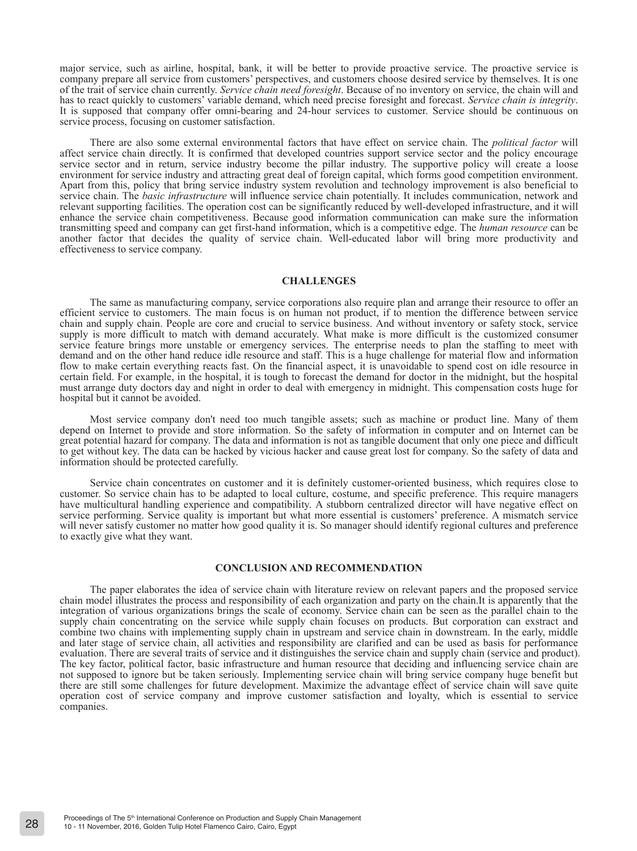major service, such as airline, hospital, bank, it will be better to provide proactive service. The proactive service is company prepare all service from customers' perspectives, and customers choose desired service by themselves. It is one of the trait of service chain currently. *Service chain need foresight*. Because of no inventory on service, the chain will and has to react quickly to customers' variable demand, which need precise foresight and forecast. Service chain is integrity.<br>It is supposed that company offer omni-bearing and 24-hour services to customer. Service should be service process, focusing on customer satisfaction.

There are also some external environmental factors that have effect on service chain. The *political factor* will affect service chain directly. It is confirmed that developed countries support service sector and the policy encourage service sector and in return, service industry become the pillar industry. The supportive policy will create a loose environment for service industry and attracting great deal of foreign capital, which forms good competition environment. Apart from this, policy that bring service industry system revolution and technology improvement is also beneficial to service chain. The *basic infrastructure* will influence service chain potentially. It includes communication, network and relevant supporting facilities. The operation cost can be significantly reduced by well-developed infrastructure, and it will enhance the service chain competitiveness. Because good information communication can make sure the information transmitting speed and company can get first-hand information, which is a competitive edge. The *human resource* can be another factor that decides the quality of service chain. Well-educated labor will bring more productivity and effectiveness to service company.

#### **CHALLENGES**

The same as manufacturing company, service corporations also require plan and arrange their resource to offer an efficient service to customers. The main focus is on human not product, if to mention the difference between service chain and supply chain. People are core and crucial to service business. And without inventory or safety stock, service supply is more difficult to match with demand accurately. What make is more difficult is the customized consumer service feature brings more unstable or emergency services. The enterprise needs to plan the staffing to meet with demand and on the other hand reduce idle resource and staff. This is a huge challenge for material flow and information flow to make certain everything reacts fast. On the financial aspect, it is unavoidable to spend cost on idle resource in certain field. For example, in the hospital, it is tough to forecast the demand for doctor in the midnight, but the hospital must arrange duty doctors day and night in order to deal with emergency in midnight. This compensation costs huge for hospital but it cannot be avoided.

Most service company don't need too much tangible assets; such as machine or product line. Many of them depend on Internet to provide and store information. So the safety of information in computer and on Internet can be great potential hazard for company. The data and information is not as tangible document that only one piece and difficult to get without key. The data can be hacked by vicious hacker and cause great lost for company. So the safety of data and information should be protected carefully.

Service chain concentrates on customer and it is definitely customer-oriented business, which requires close to customer. So service chain has to be adapted to local culture, costume, and specific preference. This require managers have multicultural handling experience and compatibility. A stubborn centralized director will have negative effect on service performing. Service quality is important but what more essential is customers' preference. A mismatch service will never satisfy customer no matter how good quality it is. So manager should identify regional cultures and preference to exactly give what they want.

#### **CONCLUSION AND RECOMMENDATION**

The paper elaborates the idea of service chain with literature review on relevant papers and the proposed service chain model illustrates the process and responsibility of each organization and party on the chain.It is apparently that the integration of various organizations brings the scale of economy. Service chain can be seen as the parallel chain to the supply chain concentrating on the service while supply chain focuses on products. But corporation can exstract and combine two chains with implementing supply chain in upstream and service chain in downstream. In the early, middle and later stage of service chain, all activities and responsibility are clarified and can be used as basis for performance evaluation. There are several traits of service and it distinguishes the service chain and supply chain (service and product). The key factor, political factor, basic infrastructure and human resource that deciding and influencing service chain are not supposed to ignore but be taken seriously. Implementing service chain will bring service company huge benefit but there are still some challenges for future development. Maximize the advantage effect of service chain will save quite operation cost of service company and improve customer satisfaction and loyalty, which is essential to service companies.